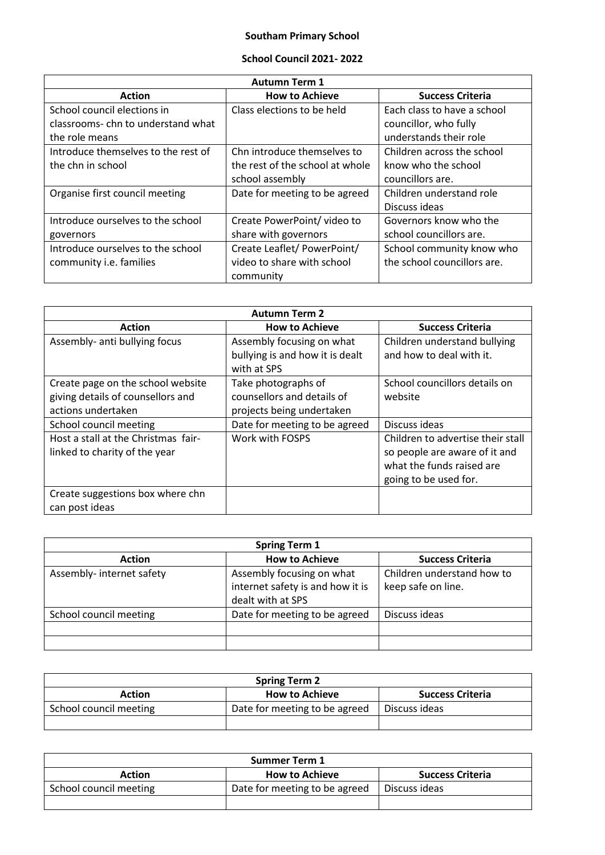## **Southam Primary School**

## **School Council 2021- 2022**

| <b>Autumn Term 1</b>                |                                 |                             |
|-------------------------------------|---------------------------------|-----------------------------|
| <b>Action</b>                       | <b>How to Achieve</b>           | <b>Success Criteria</b>     |
| School council elections in         | Class elections to be held      | Each class to have a school |
| classrooms-chn to understand what   |                                 | councillor, who fully       |
| the role means                      |                                 | understands their role      |
| Introduce themselves to the rest of | Chn introduce themselves to     | Children across the school  |
| the chn in school                   | the rest of the school at whole | know who the school         |
|                                     | school assembly                 | councillors are.            |
| Organise first council meeting      | Date for meeting to be agreed   | Children understand role    |
|                                     |                                 | Discuss ideas               |
| Introduce ourselves to the school   | Create PowerPoint/ video to     | Governors know who the      |
| governors                           | share with governors            | school councillors are.     |
| Introduce ourselves to the school   | Create Leaflet/PowerPoint/      | School community know who   |
| community <i>i.e.</i> families      | video to share with school      | the school councillors are. |
|                                     | community                       |                             |

| <b>Autumn Term 2</b>                                                                         |                                                                                |                                                                                                                          |
|----------------------------------------------------------------------------------------------|--------------------------------------------------------------------------------|--------------------------------------------------------------------------------------------------------------------------|
| <b>Action</b>                                                                                | <b>How to Achieve</b>                                                          | <b>Success Criteria</b>                                                                                                  |
| Assembly- anti bullying focus                                                                | Assembly focusing on what<br>bullying is and how it is dealt<br>with at SPS    | Children understand bullying<br>and how to deal with it.                                                                 |
| Create page on the school website<br>giving details of counsellors and<br>actions undertaken | Take photographs of<br>counsellors and details of<br>projects being undertaken | School councillors details on<br>website                                                                                 |
| School council meeting                                                                       | Date for meeting to be agreed                                                  | Discuss ideas                                                                                                            |
| Host a stall at the Christmas fair-<br>linked to charity of the year                         | Work with FOSPS                                                                | Children to advertise their stall<br>so people are aware of it and<br>what the funds raised are<br>going to be used for. |
| Create suggestions box where chn<br>can post ideas                                           |                                                                                |                                                                                                                          |

| <b>Spring Term 1</b>      |                                  |                            |
|---------------------------|----------------------------------|----------------------------|
| <b>Action</b>             | <b>How to Achieve</b>            | <b>Success Criteria</b>    |
| Assembly- internet safety | Assembly focusing on what        | Children understand how to |
|                           | internet safety is and how it is | keep safe on line.         |
|                           | dealt with at SPS                |                            |
| School council meeting    | Date for meeting to be agreed    | Discuss ideas              |
|                           |                                  |                            |
|                           |                                  |                            |

| <b>Spring Term 2</b>   |                               |                         |
|------------------------|-------------------------------|-------------------------|
| <b>Action</b>          | <b>How to Achieve</b>         | <b>Success Criteria</b> |
| School council meeting | Date for meeting to be agreed | Discuss ideas           |
|                        |                               |                         |

| <b>Summer Term 1</b>   |                               |                         |
|------------------------|-------------------------------|-------------------------|
| <b>Action</b>          | <b>How to Achieve</b>         | <b>Success Criteria</b> |
| School council meeting | Date for meeting to be agreed | Discuss ideas           |
|                        |                               |                         |